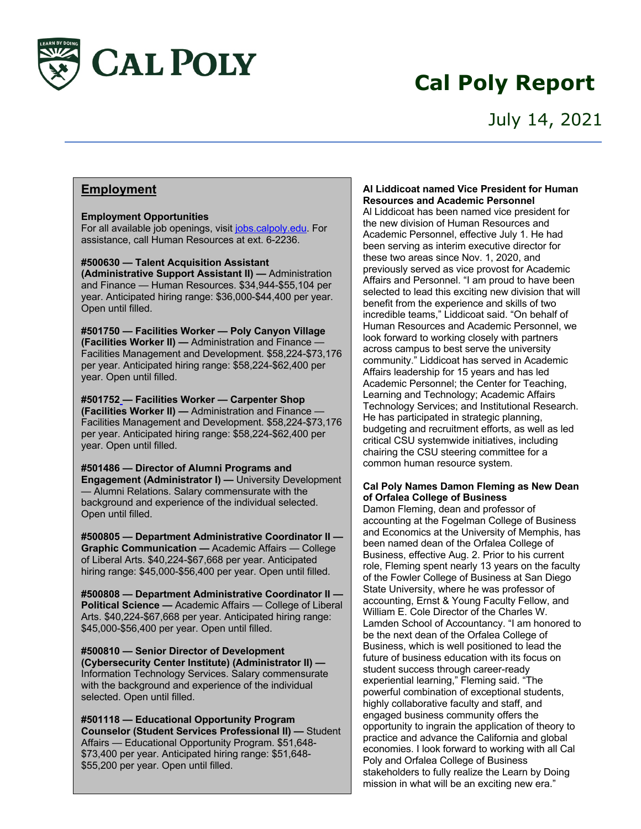

# **Cal Poly Report**

### **Employment**

**Employment Opportunities** For all available job openings, visit jobs.calpoly.edu. For assistance, call Human Resources at ext. 6-2236.

**#500630 — Talent Acquisition Assistant (Administrative Support Assistant II) —** Administration and Finance — Human Resources. \$34,944-\$55,104 per year. Anticipated hiring range: \$36,000-\$44,400 per year. Open until filled.

**#501750 — Facilities Worker — Poly Canyon Village (Facilities Worker II) —** Administration and Finance — Facilities Management and Development. \$58,224-\$73,176 per year. Anticipated hiring range: \$58,224-\$62,400 per year. Open until filled.

**#501752 — Facilities Worker — Carpenter Shop (Facilities Worker II) —** Administration and Finance — Facilities Management and Development. \$58,224-\$73,176 per year. Anticipated hiring range: \$58,224-\$62,400 per year. Open until filled.

**#501486 — Director of Alumni Programs and Engagement (Administrator I) —** University Development — Alumni Relations. Salary commensurate with the background and experience of the individual selected. Open until filled.

**#500805 — Department Administrative Coordinator II — Graphic Communication —** Academic Affairs — College of Liberal Arts. \$40,224-\$67,668 per year. Anticipated hiring range: \$45,000-\$56,400 per year. Open until filled.

**#500808 — Department Administrative Coordinator II — Political Science —** Academic Affairs — College of Liberal Arts. \$40,224-\$67,668 per year. Anticipated hiring range: \$45,000-\$56,400 per year. Open until filled.

**#500810 — Senior Director of Development (Cybersecurity Center Institute) (Administrator II) —** Information Technology Services. Salary commensurate with the background and experience of the individual selected. Open until filled.

**#501118 — Educational Opportunity Program Counselor (Student Services Professional II) —** Student Affairs — Educational Opportunity Program. \$51,648- \$73,400 per year. Anticipated hiring range: \$51,648- \$55,200 per year. Open until filled.

#### **Al Liddicoat named Vice President for Human Resources and Academic Personnel**

Al Liddicoat has been named vice president for the new division of Human Resources and Academic Personnel, effective July 1. He had been serving as interim executive director for these two areas since Nov. 1, 2020, and previously served as vice provost for Academic Affairs and Personnel. "I am proud to have been selected to lead this exciting new division that will benefit from the experience and skills of two incredible teams," Liddicoat said. "On behalf of Human Resources and Academic Personnel, we look forward to working closely with partners across campus to best serve the university community." Liddicoat has served in Academic Affairs leadership for 15 years and has led Academic Personnel; the Center for Teaching, Learning and Technology; Academic Affairs Technology Services; and Institutional Research. He has participated in strategic planning, budgeting and recruitment efforts, as well as led critical CSU systemwide initiatives, including chairing the CSU steering committee for a common human resource system.

#### **Cal Poly Names Damon Fleming as New Dean of Orfalea College of Business**

Damon Fleming, dean and professor of accounting at the Fogelman College of Business and Economics at the University of Memphis, has been named dean of the Orfalea College of Business, effective Aug. 2. Prior to his current role, Fleming spent nearly 13 years on the faculty of the Fowler College of Business at San Diego State University, where he was professor of accounting, Ernst & Young Faculty Fellow, and William E. Cole Director of the Charles W. Lamden School of Accountancy. "I am honored to be the next dean of the Orfalea College of Business, which is well positioned to lead the future of business education with its focus on student success through career-ready experiential learning," Fleming said. "The powerful combination of exceptional students, highly collaborative faculty and staff, and engaged business community offers the opportunity to ingrain the application of theory to practice and advance the California and global economies. I look forward to working with all Cal Poly and Orfalea College of Business stakeholders to fully realize the Learn by Doing mission in what will be an exciting new era."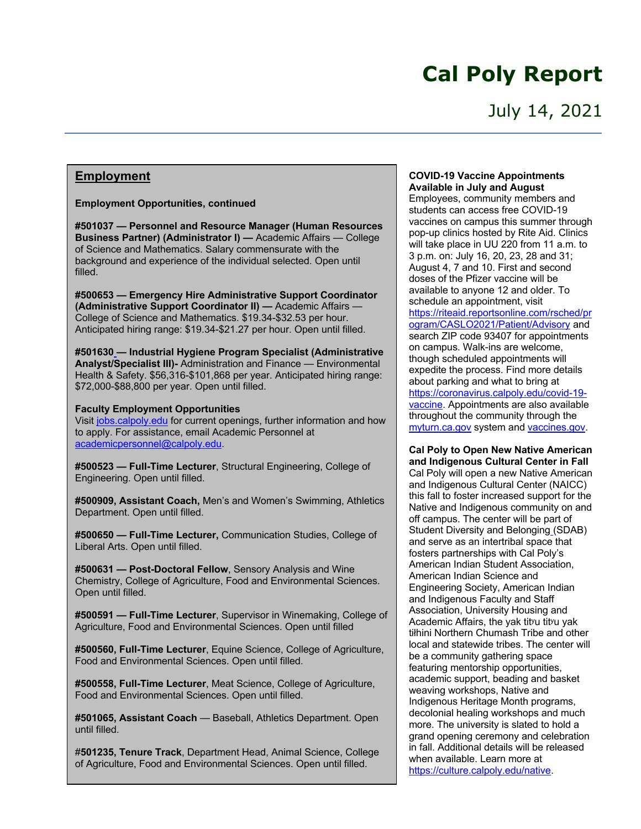## **Cal Poly Report**

### July 14, 2021

#### **Employment**

**Employment Opportunities, continued** 

**#501037 — Personnel and Resource Manager (Human Resources Business Partner) (Administrator I) —** Academic Affairs — College of Science and Mathematics. Salary commensurate with the background and experience of the individual selected. Open until filled.

**#500653 — Emergency Hire Administrative Support Coordinator (Administrative Support Coordinator II) —** Academic Affairs — College of Science and Mathematics. \$19.34-\$32.53 per hour. Anticipated hiring range: \$19.34-\$21.27 per hour. Open until filled.

**#501630 — Industrial Hygiene Program Specialist (Administrative Analyst/Specialist III)-** Administration and Finance — Environmental Health & Safety. \$56,316-\$101,868 per year. Anticipated hiring range: \$72,000-\$88,800 per year. Open until filled.

#### **Faculty Employment Opportunities**

Visit jobs.calpoly.edu for current openings, further information and how to apply. For assistance, email Academic Personnel at academicpersonnel@calpoly.edu.

**#500523 — Full-Time Lecturer**, Structural Engineering, College of Engineering. Open until filled.

**#500909, Assistant Coach,** Men's and Women's Swimming, Athletics Department. Open until filled.

**#500650 — Full-Time Lecturer,** Communication Studies, College of Liberal Arts. Open until filled.

**#500631 — Post-Doctoral Fellow**, Sensory Analysis and Wine Chemistry, College of Agriculture, Food and Environmental Sciences. Open until filled.

**#500591 — Full-Time Lecturer**, Supervisor in Winemaking, College of Agriculture, Food and Environmental Sciences. Open until filled

**#500560, Full-Time Lecturer**, Equine Science, College of Agriculture, Food and Environmental Sciences. Open until filled.

**#500558, Full-Time Lecturer**, Meat Science, College of Agriculture, Food and Environmental Sciences. Open until filled.

**#501065, Assistant Coach** — Baseball, Athletics Department. Open until filled.

#**501235, Tenure Track**, Department Head, Animal Science, College of Agriculture, Food and Environmental Sciences. Open until filled.

#### **COVID-19 Vaccine Appointments Available in July and August**

Employees, community members and students can access free COVID-19 vaccines on campus this summer through pop-up clinics hosted by Rite Aid. Clinics will take place in UU 220 from 11 a.m. to 3 p.m. on: July 16, 20, 23, 28 and 31; August 4, 7 and 10. First and second doses of the Pfizer vaccine will be available to anyone 12 and older. To schedule an appointment, visit https://riteaid.reportsonline.com/rsched/pr ogram/CASLO2021/Patient/Advisory and search ZIP code 93407 for appointments on campus. Walk-ins are welcome, though scheduled appointments will expedite the process. Find more details about parking and what to bring at https://coronavirus.calpoly.edu/covid-19 vaccine. Appointments are also available throughout the community through the myturn.ca.gov system and vaccines.gov.

**Cal Poly to Open New Native American and Indigenous Cultural Center in Fall** Cal Poly will open a new Native American and Indigenous Cultural Center (NAICC) this fall to foster increased support for the Native and Indigenous community on and off campus. The center will be part of Student Diversity and Belonging (SDAB) and serve as an intertribal space that fosters partnerships with Cal Poly's American Indian Student Association, American Indian Science and Engineering Society, American Indian and Indigenous Faculty and Staff Association, University Housing and Academic Affairs, the yak tit<sup>yu</sup> tit<sup>yu</sup> yak tiłhini Northern Chumash Tribe and other local and statewide tribes. The center will be a community gathering space featuring mentorship opportunities, academic support, beading and basket weaving workshops, Native and Indigenous Heritage Month programs, decolonial healing workshops and much more. The university is slated to hold a grand opening ceremony and celebration in fall. Additional details will be released when available. Learn more at https://culture.calpoly.edu/native.